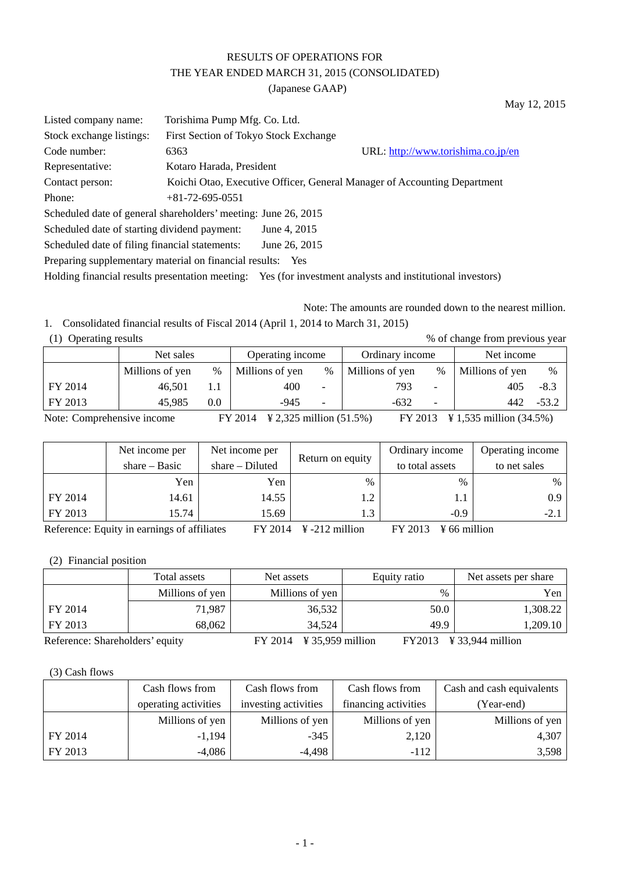## RESULTS OF OPERATIONS FOR THE YEAR ENDED MARCH 31, 2015 (CONSOLIDATED) (Japanese GAAP)

May 12, 2015

| Listed company name:                                                                                      | Torishima Pump Mfg. Co. Ltd.          |               |                                                                          |  |  |  |
|-----------------------------------------------------------------------------------------------------------|---------------------------------------|---------------|--------------------------------------------------------------------------|--|--|--|
| Stock exchange listings:                                                                                  | First Section of Tokyo Stock Exchange |               |                                                                          |  |  |  |
| Code number:                                                                                              | 6363                                  |               | URL: http://www.torishima.co.jp/en                                       |  |  |  |
| Representative:                                                                                           | Kotaro Harada, President              |               |                                                                          |  |  |  |
| Contact person:                                                                                           |                                       |               | Koichi Otao, Executive Officer, General Manager of Accounting Department |  |  |  |
| Phone:                                                                                                    | $+81-72-695-0551$                     |               |                                                                          |  |  |  |
| Scheduled date of general shareholders' meeting: June 26, 2015                                            |                                       |               |                                                                          |  |  |  |
| Scheduled date of starting dividend payment:                                                              |                                       | June 4, 2015  |                                                                          |  |  |  |
| Scheduled date of filing financial statements:                                                            |                                       | June 26, 2015 |                                                                          |  |  |  |
| Preparing supplementary material on financial results: Yes                                                |                                       |               |                                                                          |  |  |  |
| Holding financial results presentation meeting: Yes (for investment analysts and institutional investors) |                                       |               |                                                                          |  |  |  |

Note: The amounts are rounded down to the nearest million.

1. Consolidated financial results of Fiscal 2014 (April 1, 2014 to March 31, 2015) % of change from previous year

|  | (1) Operating results |  |
|--|-----------------------|--|
|--|-----------------------|--|

|         | Operating income<br>Net sales |      | Ordinary income |                          | Net income      |                          |                 |         |
|---------|-------------------------------|------|-----------------|--------------------------|-----------------|--------------------------|-----------------|---------|
|         | Millions of yen               | $\%$ | Millions of yen | $\%$                     | Millions of yen | %                        | Millions of yen | $\%$    |
| FY 2014 | 46.501                        |      | 400             | -                        | 793             |                          | 405             | $-8.3$  |
| FY 2013 | 45,985                        | 0.0  | -945            | $\overline{\phantom{0}}$ | $-632$          | $\overline{\phantom{0}}$ | 442             | $-53.2$ |

Note: Comprehensive income FY 2014 ¥ 2,325 million (51.5%) FY 2013 ¥ 1,535 million (34.5%)

|         | Net income per                                                                                                                             | Net income per                         | Return on equity        | Ordinary income | Operating income |
|---------|--------------------------------------------------------------------------------------------------------------------------------------------|----------------------------------------|-------------------------|-----------------|------------------|
|         | share $-$ Basic                                                                                                                            | $share-Diluted$                        |                         | to total assets | to net sales     |
|         | Yen                                                                                                                                        | Yen                                    | $\%$                    | $\frac{0}{0}$   | $\%$             |
| FY 2014 | 14.61                                                                                                                                      | 14.55                                  | 1.2                     | 1.1             | 0.9              |
| FY 2013 | 15.74                                                                                                                                      | 15.69                                  | 1.3                     | $-0.9$          | $-2.1$           |
|         | $\mathbf{D}$ , $\mathbf{C}$ , and a set $\mathbf{D}$ and the set of the set of $\mathbf{C}$ and $\mathbf{C}$ $\mathbf{C}$ and $\mathbf{C}$ | $\Gamma V$ $\Omega$ $\Omega$ $\Lambda$ | $V = 0.10$ $\ldots$ 111 |                 |                  |

Reference: Equity in earnings of affiliates FY 2014 ¥-212 million FY 2013 ¥ 66 million

(2) Financial position

|                                 | Total assets    | Net assets                              | Equity ratio | Net assets per share           |
|---------------------------------|-----------------|-----------------------------------------|--------------|--------------------------------|
|                                 | Millions of yen | Millions of yen                         | $\%$         | Yen                            |
| FY 2014                         | 71,987          | 36,532                                  | 50.0         | 1,308.22                       |
| FY 2013                         | 68,062          | 34.524                                  | 49.9         | 1,209.10                       |
| Reference: Shareholders' equity |                 | $\frac{1}{2}$ 35,959 million<br>FY 2014 |              | $FY2013 \quad Y33,944$ million |

(3) Cash flows

|         | Cash flows from      | Cash flows from      | Cash flows from      | Cash and cash equivalents |
|---------|----------------------|----------------------|----------------------|---------------------------|
|         | operating activities | investing activities | financing activities | (Year-end)                |
|         | Millions of yen      | Millions of yen      | Millions of yen      | Millions of yen           |
| FY 2014 | $-1,194$             | $-345$               | 2,120                | 4,307                     |
| FY 2013 | $-4,086$             | $-4,498$             | $-112$               | 3,598                     |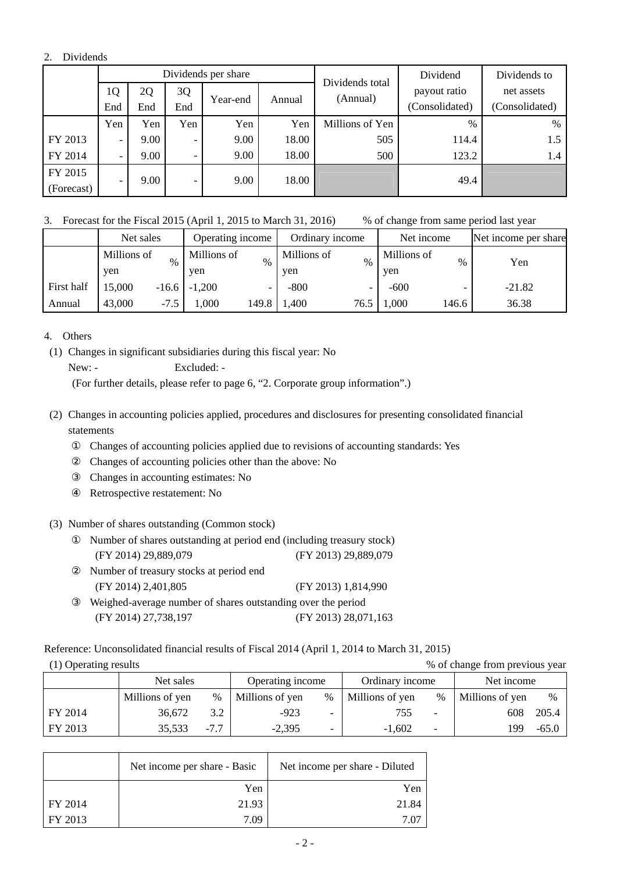#### 2. Dividends

|            |                          |      |                          | Dividends per share |        | Dividends total | Dividend       | Dividends to   |  |  |  |          |              |            |
|------------|--------------------------|------|--------------------------|---------------------|--------|-----------------|----------------|----------------|--|--|--|----------|--------------|------------|
|            | 1Q                       | 2Q   | 3Q                       |                     |        |                 |                |                |  |  |  | (Annual) | payout ratio | net assets |
|            | End                      | End  | End                      | Year-end            | Annual |                 | (Consolidated) | (Consolidated) |  |  |  |          |              |            |
|            | Yen                      | Yen  | Yen                      | Yen                 | Yen    | Millions of Yen | $\%$           | %              |  |  |  |          |              |            |
| FY 2013    | -                        | 9.00 | -                        | 9.00                | 18.00  | 505             | 114.4          | 1.5            |  |  |  |          |              |            |
| FY 2014    | -                        | 9.00 | $\overline{\phantom{a}}$ | 9.00                | 18.00  | 500             | 123.2          | 1.4            |  |  |  |          |              |            |
| FY 2015    |                          |      |                          |                     |        |                 |                |                |  |  |  |          |              |            |
| (Forecast) | $\overline{\phantom{a}}$ | 9.00 | $\overline{\phantom{0}}$ | 9.00                | 18.00  |                 | 49.4           |                |  |  |  |          |              |            |

3. Forecast for the Fiscal 2015 (April 1, 2015 to March 31, 2016) % of change from same period last year

|            | Net sales   |         | Operating income |       | Ordinary income |      | Net income  |       | Net income per share |
|------------|-------------|---------|------------------|-------|-----------------|------|-------------|-------|----------------------|
|            | Millions of | $\%$    | Millions of      | $\%$  | Millions of     | $\%$ | Millions of | $\%$  | Yen                  |
|            | yen         |         | yen              |       | yen             |      | yen         |       |                      |
| First half | 15,000      | $-16.6$ | $-1,200$         |       | $-800$          |      | $-600$      | -     | $-21.82$             |
| Annual     | 43,000      | $-7.5$  | $.000$ .         | 149.8 | 1,400           | 76.5 | 1,000       | 146.6 | 36.38                |

4. Others

(1) Changes in significant subsidiaries during this fiscal year: No New: - Excluded: -

(For further details, please refer to page 6, "2. Corporate group information".)

(2) Changes in accounting policies applied, procedures and disclosures for presenting consolidated financial statements

Changes of accounting policies applied due to revisions of accounting standards: Yes Changes of accounting policies other than the above: No

Changes in accounting estimates: No

Retrospective restatement: No

(3) Number of shares outstanding (Common stock)

Number of shares outstanding at period end (including treasury stock) (FY 2014) 29,889,079 (FY 2013) 29,889,079 Number of treasury stocks at period end (FY 2014) 2,401,805 (FY 2013) 1,814,990 Weighed-average number of shares outstanding over the period (FY 2014) 27,738,197 (FY 2013) 28,071,163

Reference: Unconsolidated financial results of Fiscal 2014 (April 1, 2014 to March 31, 2015)

| (1) Operating results |  |
|-----------------------|--|
|                       |  |

% of change from previous year

|         | Net sales       |        | Operating income |                          | Ordinary income |      | Net income      |         |
|---------|-----------------|--------|------------------|--------------------------|-----------------|------|-----------------|---------|
|         | Millions of yen | $\%$   | Millions of yen  | $\%$                     | Millions of yen | $\%$ | Millions of yen | $\%$    |
| FY 2014 | 36,672          | 3.2    | $-923$           | -                        | 755             |      | 608             | 205.4   |
| FY 2013 | 35,533          | $-7.7$ | $-2.395$         | $\overline{\phantom{0}}$ | $-1.602$        | -    | 99              | $-65.0$ |

|         | Net income per share - Basic | Net income per share - Diluted |
|---------|------------------------------|--------------------------------|
|         | Yen                          | Yen                            |
| FY 2014 | 21.93                        | 21.84                          |
| FY 2013 | 7.09                         | 7.OZ                           |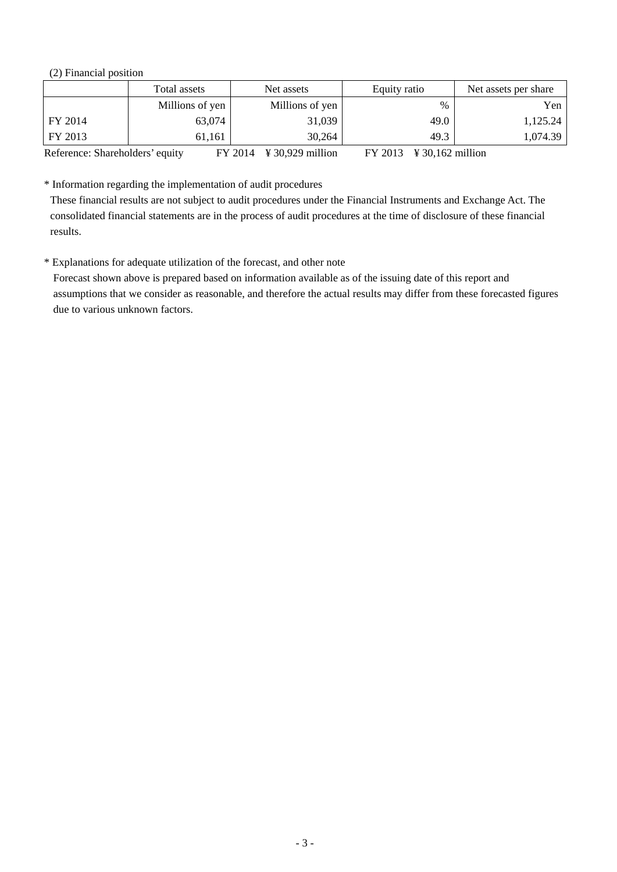(2) Financial position

|                                 | Total assets    | Net assets                              | Equity ratio                                     | Net assets per share |
|---------------------------------|-----------------|-----------------------------------------|--------------------------------------------------|----------------------|
|                                 | Millions of yen | Millions of yen                         | $\%$                                             | Yen                  |
| FY 2014                         | 63,074          | 31,039                                  | 49.0                                             | 1,125.24             |
| FY 2013                         | 61.161          | 30,264                                  | 49.3                                             | 1,074.39             |
| Reference: Shareholders' equity |                 | $\frac{1}{2}$ 30,929 million<br>FY 2014 | $FY 2013 \quad \text{¥ } 30,162 \text{ million}$ |                      |

\* Information regarding the implementation of audit procedures

These financial results are not subject to audit procedures under the Financial Instruments and Exchange Act. The consolidated financial statements are in the process of audit procedures at the time of disclosure of these financial results.

\* Explanations for adequate utilization of the forecast, and other note

Forecast shown above is prepared based on information available as of the issuing date of this report and assumptions that we consider as reasonable, and therefore the actual results may differ from these forecasted figures due to various unknown factors.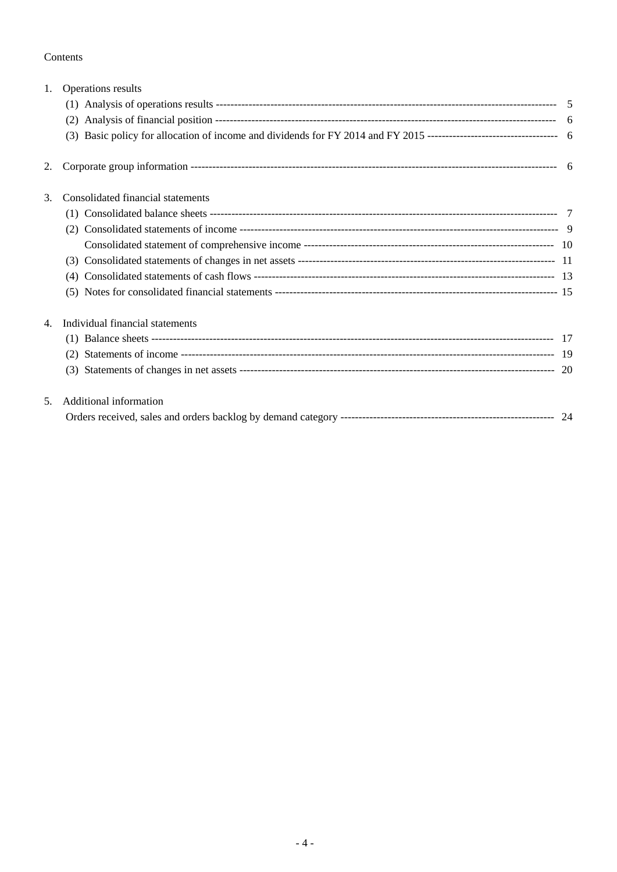#### Contents

| 1. | Operations results                |  |
|----|-----------------------------------|--|
|    |                                   |  |
|    |                                   |  |
|    |                                   |  |
| 2. |                                   |  |
| 3. | Consolidated financial statements |  |
|    |                                   |  |
|    |                                   |  |
|    |                                   |  |
|    |                                   |  |
|    | (4)                               |  |
|    |                                   |  |
| 4. | Individual financial statements   |  |
|    |                                   |  |
|    |                                   |  |
|    |                                   |  |
| 5. | Additional information            |  |
|    |                                   |  |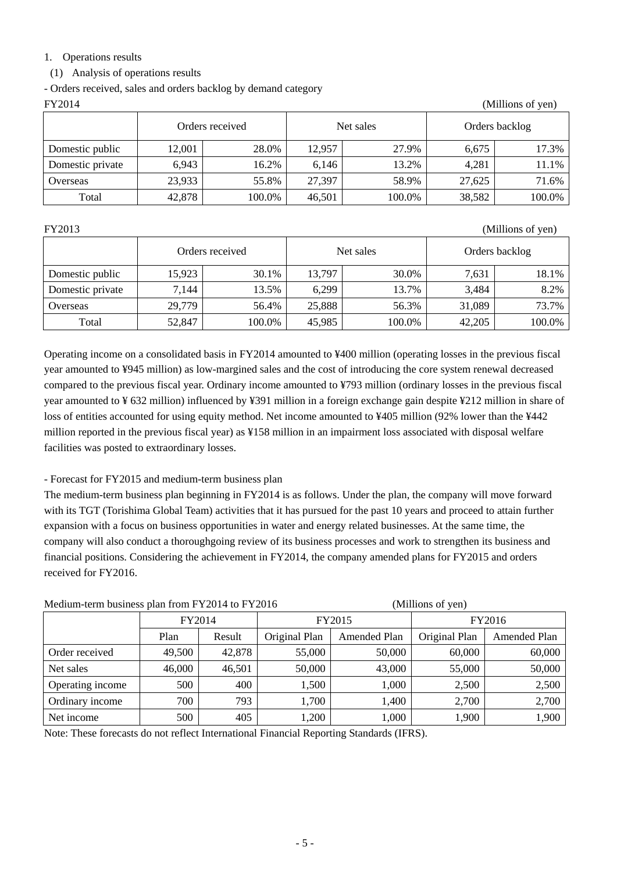#### 1. Operations results

(1) Analysis of operations results

- Orders received, sales and orders backlog by demand category

| FY2014<br>(Millions of yen) |        |                 |        |           |                |        |  |  |  |
|-----------------------------|--------|-----------------|--------|-----------|----------------|--------|--|--|--|
|                             |        | Orders received |        | Net sales | Orders backlog |        |  |  |  |
| Domestic public             | 12,001 | 28.0%           | 12,957 | 27.9%     | 6.675          | 17.3%  |  |  |  |
| Domestic private            | 6,943  | 16.2%           | 6,146  | 13.2%     | 4,281          | 11.1%  |  |  |  |
| Overseas                    | 23,933 | 55.8%           | 27,397 | 58.9%     | 27,625         | 71.6%  |  |  |  |
| Total                       | 42,878 | 100.0%          | 46,501 | 100.0%    | 38,582         | 100.0% |  |  |  |

FY2013 (Millions of yen)

|                  |        | Orders received |        | Net sales | Orders backlog |        |
|------------------|--------|-----------------|--------|-----------|----------------|--------|
| Domestic public  | 15,923 | 30.1%           | 13.797 | 30.0%     | 7.631          | 18.1%  |
| Domestic private | 7,144  | 13.5%           | 6,299  | 13.7%     | 3.484          | 8.2%   |
| Overseas         | 29,779 | 56.4%           | 25,888 | 56.3%     | 31,089         | 73.7%  |
| Total            | 52,847 | 100.0%          | 45,985 | 100.0%    | 42,205         | 100.0% |

Operating income on a consolidated basis in FY2014 amounted to ¥400 million (operating losses in the previous fiscal year amounted to ¥945 million) as low-margined sales and the cost of introducing the core system renewal decreased compared to the previous fiscal year. Ordinary income amounted to ¥793 million (ordinary losses in the previous fiscal year amounted to ¥ 632 million) influenced by ¥391 million in a foreign exchange gain despite ¥212 million in share of loss of entities accounted for using equity method. Net income amounted to ¥405 million (92% lower than the ¥442 million reported in the previous fiscal year) as ¥158 million in an impairment loss associated with disposal welfare facilities was posted to extraordinary losses.

- Forecast for FY2015 and medium-term business plan

The medium-term business plan beginning in FY2014 is as follows. Under the plan, the company will move forward with its TGT (Torishima Global Team) activities that it has pursued for the past 10 years and proceed to attain further expansion with a focus on business opportunities in water and energy related businesses. At the same time, the company will also conduct a thoroughgoing review of its business processes and work to strengthen its business and financial positions. Considering the achievement in FY2014, the company amended plans for FY2015 and orders received for FY2016.

Medium-term business plan from FY2014 to FY2016 (Millions of yen)

|                  | FY2014<br>Plan<br>Result |        |               | FY2015       | FY2016        |                     |
|------------------|--------------------------|--------|---------------|--------------|---------------|---------------------|
|                  |                          |        | Original Plan | Amended Plan | Original Plan | <b>Amended Plan</b> |
| Order received   | 49,500                   | 42,878 | 55,000        | 50,000       | 60,000        | 60,000              |
| Net sales        | 46,000                   | 46,501 | 50,000        | 43,000       | 55,000        | 50,000              |
| Operating income | 500                      | 400    | 1,500         | 1,000        | 2,500         | 2,500               |
| Ordinary income  | 700                      | 793    | 1,700         | 1,400        | 2,700         | 2,700               |
| Net income       | 500                      | 405    | 1,200         | 1,000        | 1,900         | 1,900               |

Note: These forecasts do not reflect International Financial Reporting Standards (IFRS).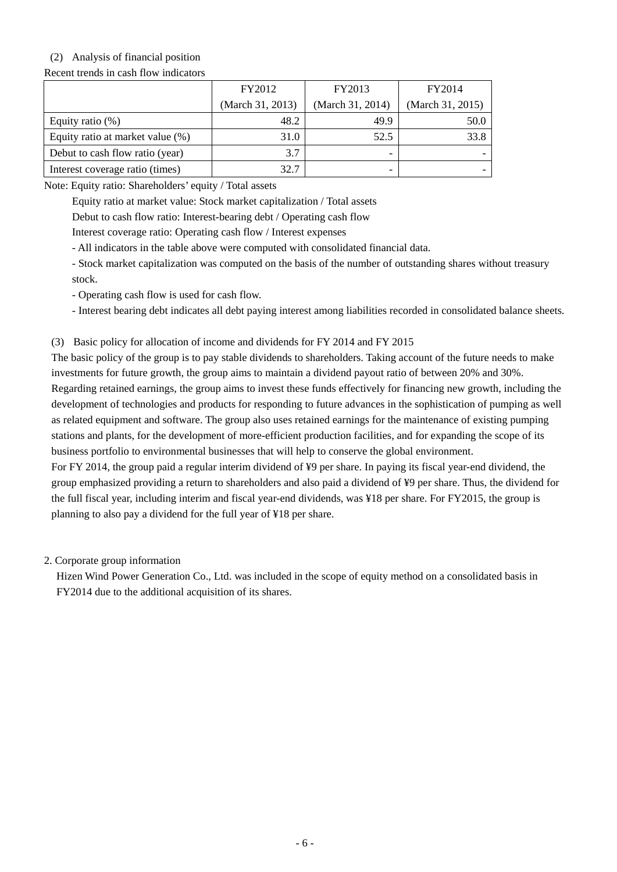## (2) Analysis of financial position

Recent trends in cash flow indicators

|                                  | FY2012           | FY2013           | FY2014           |
|----------------------------------|------------------|------------------|------------------|
|                                  | (March 31, 2013) | (March 31, 2014) | (March 31, 2015) |
| Equity ratio $(\%)$              | 48.2             | 49.9             | 50.0             |
| Equity ratio at market value (%) | 31.0             | 52.5             | 33.8             |
| Debut to cash flow ratio (year)  | 3.7              | -                |                  |
| Interest coverage ratio (times)  | 32.7             | -                |                  |

Note: Equity ratio: Shareholders' equity / Total assets

Equity ratio at market value: Stock market capitalization / Total assets

Debut to cash flow ratio: Interest-bearing debt / Operating cash flow

Interest coverage ratio: Operating cash flow / Interest expenses

- All indicators in the table above were computed with consolidated financial data.

- Stock market capitalization was computed on the basis of the number of outstanding shares without treasury stock.

- Operating cash flow is used for cash flow.

- Interest bearing debt indicates all debt paying interest among liabilities recorded in consolidated balance sheets.

(3) Basic policy for allocation of income and dividends for FY 2014 and FY 2015

The basic policy of the group is to pay stable dividends to shareholders. Taking account of the future needs to make investments for future growth, the group aims to maintain a dividend payout ratio of between 20% and 30%. Regarding retained earnings, the group aims to invest these funds effectively for financing new growth, including the development of technologies and products for responding to future advances in the sophistication of pumping as well as related equipment and software. The group also uses retained earnings for the maintenance of existing pumping stations and plants, for the development of more-efficient production facilities, and for expanding the scope of its business portfolio to environmental businesses that will help to conserve the global environment.

For FY 2014, the group paid a regular interim dividend of ¥9 per share. In paying its fiscal year-end dividend, the group emphasized providing a return to shareholders and also paid a dividend of ¥9 per share. Thus, the dividend for the full fiscal year, including interim and fiscal year-end dividends, was ¥18 per share. For FY2015, the group is planning to also pay a dividend for the full year of ¥18 per share.

2. Corporate group information

Hizen Wind Power Generation Co., Ltd. was included in the scope of equity method on a consolidated basis in FY2014 due to the additional acquisition of its shares.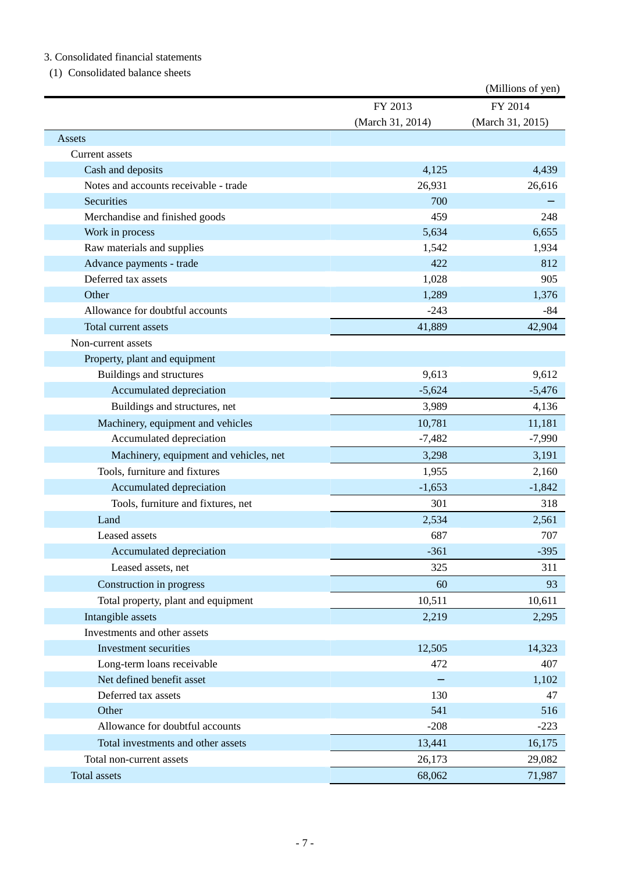### 3. Consolidated financial statements

#### (1) Consolidated balance sheets

|                                        |                  | (Millions of yen) |
|----------------------------------------|------------------|-------------------|
|                                        | FY 2013          | FY 2014           |
|                                        | (March 31, 2014) | (March 31, 2015)  |
| Assets                                 |                  |                   |
| Current assets                         |                  |                   |
| Cash and deposits                      | 4,125            | 4,439             |
| Notes and accounts receivable - trade  | 26,931           | 26,616            |
| Securities                             | 700              |                   |
| Merchandise and finished goods         | 459              | 248               |
| Work in process                        | 5,634            | 6,655             |
| Raw materials and supplies             | 1,542            | 1,934             |
| Advance payments - trade               | 422              | 812               |
| Deferred tax assets                    | 1,028            | 905               |
| Other                                  | 1,289            | 1,376             |
| Allowance for doubtful accounts        | $-243$           | $-84$             |
| Total current assets                   | 41,889           | 42,904            |
| Non-current assets                     |                  |                   |
| Property, plant and equipment          |                  |                   |
| Buildings and structures               | 9,613            | 9,612             |
| Accumulated depreciation               | $-5,624$         | $-5,476$          |
| Buildings and structures, net          | 3,989            | 4,136             |
| Machinery, equipment and vehicles      | 10,781           | 11,181            |
| Accumulated depreciation               | $-7,482$         | $-7,990$          |
| Machinery, equipment and vehicles, net | 3,298            | 3,191             |
| Tools, furniture and fixtures          | 1,955            | 2,160             |
| Accumulated depreciation               | $-1,653$         | $-1,842$          |
| Tools, furniture and fixtures, net     | 301              | 318               |
| Land                                   | 2,534            | 2,561             |
| Leased assets                          | 687              | 707               |
| Accumulated depreciation               | $-361$           | $-395$            |
| Leased assets, net                     | 325              | 311               |
| Construction in progress               | 60               | 93                |
| Total property, plant and equipment    | 10,511           | 10,611            |
| Intangible assets                      | 2,219            | 2,295             |
| Investments and other assets           |                  |                   |
| Investment securities                  | 12,505           | 14,323            |
| Long-term loans receivable             | 472              | 407               |
| Net defined benefit asset              |                  | 1,102             |
| Deferred tax assets                    | 130              | 47                |
| Other                                  | 541              | 516               |
| Allowance for doubtful accounts        | $-208$           | $-223$            |
| Total investments and other assets     | 13,441           | 16,175            |
| Total non-current assets               | 26,173           | 29,082            |
| Total assets                           | 68,062           | 71,987            |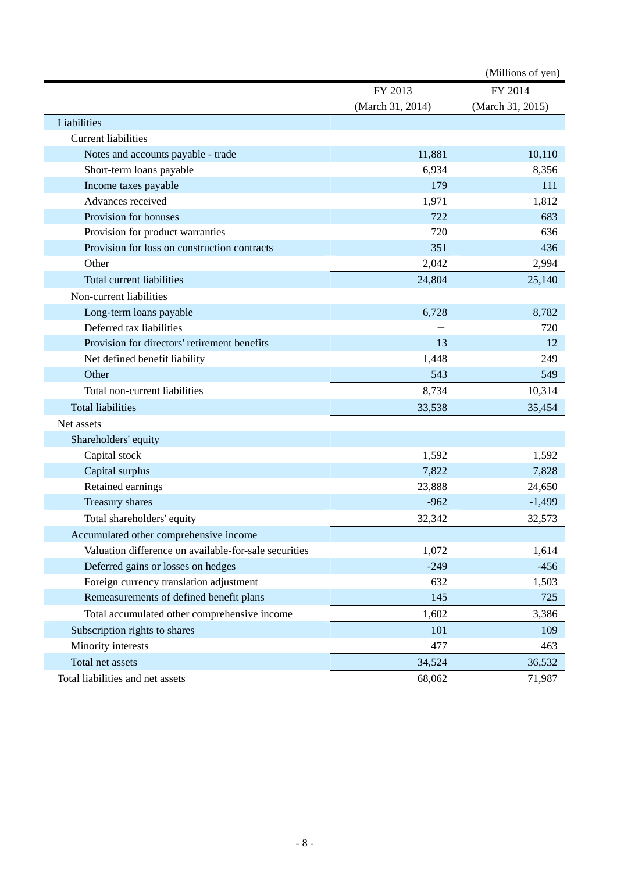|                                                       |                  | (Millions of yen) |
|-------------------------------------------------------|------------------|-------------------|
|                                                       | FY 2013          | FY 2014           |
|                                                       | (March 31, 2014) | (March 31, 2015)  |
| Liabilities                                           |                  |                   |
| <b>Current liabilities</b>                            |                  |                   |
| Notes and accounts payable - trade                    | 11,881           | 10,110            |
| Short-term loans payable                              | 6,934            | 8,356             |
| Income taxes payable                                  | 179              | 111               |
| Advances received                                     | 1,971            | 1,812             |
| Provision for bonuses                                 | 722              | 683               |
| Provision for product warranties                      | 720              | 636               |
| Provision for loss on construction contracts          | 351              | 436               |
| Other                                                 | 2,042            | 2,994             |
| <b>Total current liabilities</b>                      | 24,804           | 25,140            |
| Non-current liabilities                               |                  |                   |
| Long-term loans payable                               | 6,728            | 8,782             |
| Deferred tax liabilities                              |                  | 720               |
| Provision for directors' retirement benefits          | 13               | 12                |
| Net defined benefit liability                         | 1,448            | 249               |
| Other                                                 | 543              | 549               |
| Total non-current liabilities                         | 8,734            | 10,314            |
| <b>Total liabilities</b>                              | 33,538           | 35,454            |
| Net assets                                            |                  |                   |
| Shareholders' equity                                  |                  |                   |
| Capital stock                                         | 1,592            | 1,592             |
| Capital surplus                                       | 7,822            | 7,828             |
| Retained earnings                                     | 23,888           | 24,650            |
| Treasury shares                                       | $-962$           | $-1,499$          |
| Total shareholders' equity                            | 32,342           | 32,573            |
| Accumulated other comprehensive income                |                  |                   |
| Valuation difference on available-for-sale securities | 1,072            | 1,614             |
| Deferred gains or losses on hedges                    | $-249$           | $-456$            |
| Foreign currency translation adjustment               | 632              | 1,503             |
| Remeasurements of defined benefit plans               | 145              | 725               |
| Total accumulated other comprehensive income          | 1,602            | 3,386             |
| Subscription rights to shares                         | 101              | 109               |
| Minority interests                                    | 477              | 463               |
| Total net assets                                      | 34,524           | 36,532            |
| Total liabilities and net assets                      | 68,062           | 71,987            |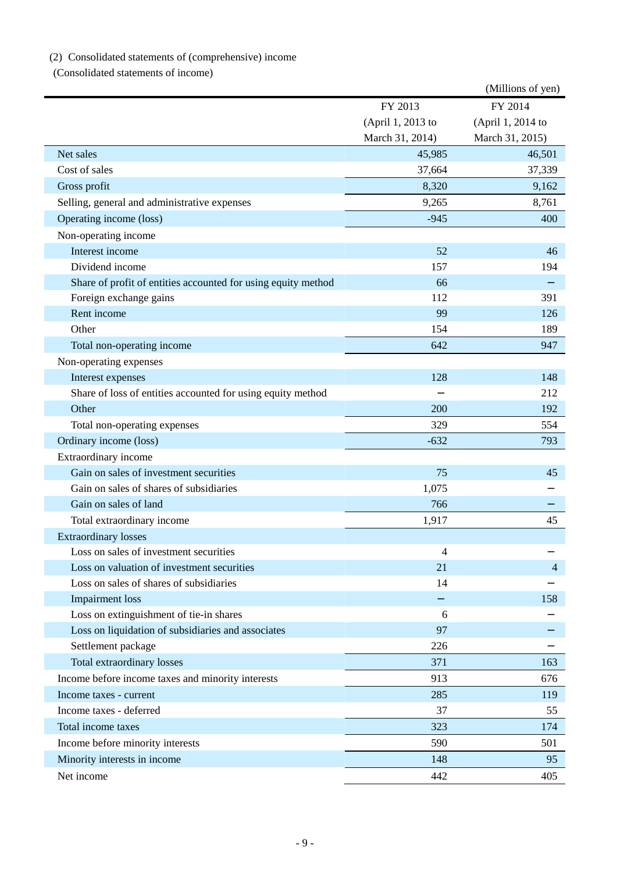# (2) Consolidated statements of (comprehensive) income

(Consolidated statements of income)

|                                                               |                   | (Millions of yen) |
|---------------------------------------------------------------|-------------------|-------------------|
|                                                               | FY 2013           | FY 2014           |
|                                                               | (April 1, 2013 to | (April 1, 2014 to |
|                                                               | March 31, 2014)   | March 31, 2015)   |
| Net sales                                                     | 45,985            | 46,501            |
| Cost of sales                                                 | 37,664            | 37,339            |
| Gross profit                                                  | 8,320             | 9,162             |
| Selling, general and administrative expenses                  | 9,265             | 8,761             |
| Operating income (loss)                                       | $-945$            | 400               |
| Non-operating income                                          |                   |                   |
| Interest income                                               | 52                | 46                |
| Dividend income                                               | 157               | 194               |
| Share of profit of entities accounted for using equity method | 66                |                   |
| Foreign exchange gains                                        | 112               | 391               |
| Rent income                                                   | 99                | 126               |
| Other                                                         | 154               | 189               |
| Total non-operating income                                    | 642               | 947               |
| Non-operating expenses                                        |                   |                   |
| Interest expenses                                             | 128               | 148               |
| Share of loss of entities accounted for using equity method   |                   | 212               |
| Other                                                         | 200               | 192               |
| Total non-operating expenses                                  | 329               | 554               |
| Ordinary income (loss)                                        | $-632$            | 793               |
| Extraordinary income                                          |                   |                   |
| Gain on sales of investment securities                        | 75                | 45                |
| Gain on sales of shares of subsidiaries                       | 1,075             |                   |
| Gain on sales of land                                         | 766               |                   |
| Total extraordinary income                                    | 1,917             | 45                |
| <b>Extraordinary losses</b>                                   |                   |                   |
| Loss on sales of investment securities                        | 4                 |                   |
| Loss on valuation of investment securities                    | 21                | 4                 |
| Loss on sales of shares of subsidiaries                       | 14                |                   |
| <b>Impairment</b> loss                                        |                   | 158               |
| Loss on extinguishment of tie-in shares                       | 6                 |                   |
| Loss on liquidation of subsidiaries and associates            | 97                |                   |
| Settlement package                                            | 226               |                   |
| Total extraordinary losses                                    | 371               | 163               |
| Income before income taxes and minority interests             | 913               | 676               |
| Income taxes - current                                        | 285               | 119               |
| Income taxes - deferred                                       | 37                | 55                |
| Total income taxes                                            | 323               | 174               |
| Income before minority interests                              | 590               | 501               |
| Minority interests in income                                  | 148               | 95                |
| Net income                                                    | 442               | 405               |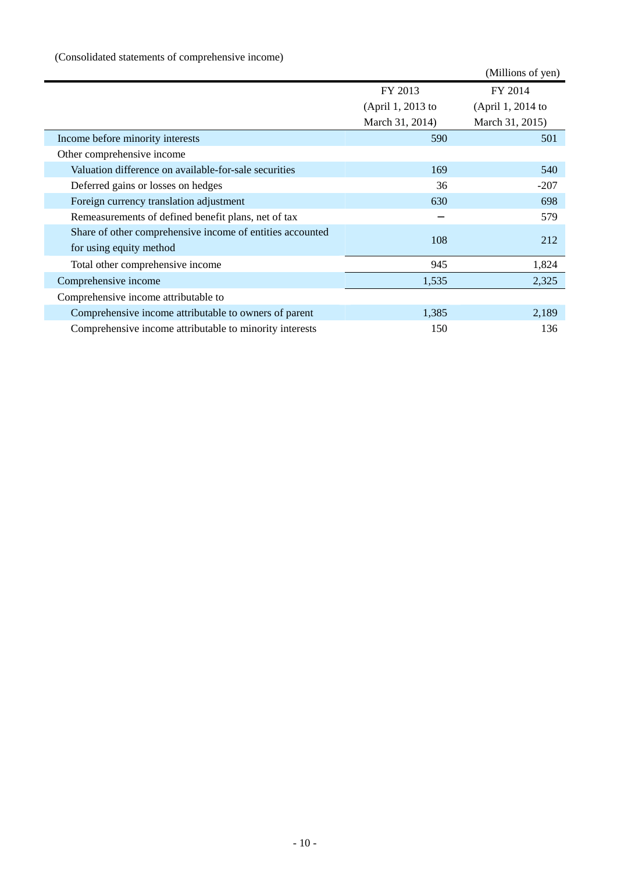(Consolidated statements of comprehensive income)

|                                                           |                   | (Millions of yen) |
|-----------------------------------------------------------|-------------------|-------------------|
|                                                           | FY 2013           | FY 2014           |
|                                                           | (April 1, 2013 to | (April 1, 2014 to |
|                                                           | March 31, 2014)   | March 31, 2015)   |
| Income before minority interests                          | 590               | 501               |
| Other comprehensive income                                |                   |                   |
| Valuation difference on available-for-sale securities     | 169               | 540               |
| Deferred gains or losses on hedges                        | 36                | $-207$            |
| Foreign currency translation adjustment                   | 630               | 698               |
| Remeasurements of defined benefit plans, net of tax       |                   | 579               |
| Share of other comprehensive income of entities accounted | 108               | 212               |
| for using equity method                                   |                   |                   |
| Total other comprehensive income                          | 945               | 1,824             |
| Comprehensive income                                      | 1,535             | 2,325             |
| Comprehensive income attributable to                      |                   |                   |
| Comprehensive income attributable to owners of parent     | 1,385             | 2,189             |
| Comprehensive income attributable to minority interests   | 150               | 136               |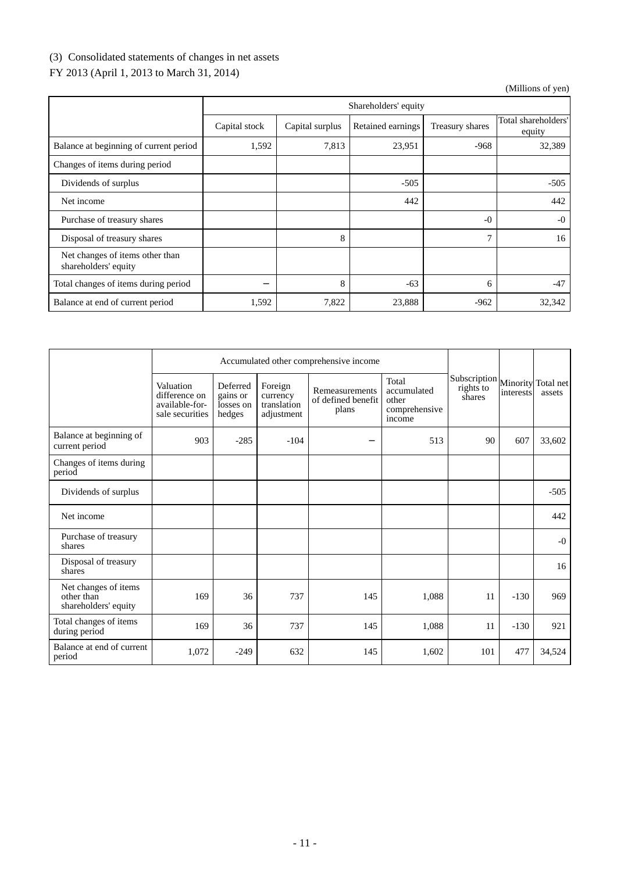# (3) Consolidated statements of changes in net assets

# FY 2013 (April 1, 2013 to March 31, 2014)

|                                                         |               | Shareholders' equity |                   |                 |                               |  |  |  |
|---------------------------------------------------------|---------------|----------------------|-------------------|-----------------|-------------------------------|--|--|--|
|                                                         | Capital stock | Capital surplus      | Retained earnings | Treasury shares | Total shareholders'<br>equity |  |  |  |
| Balance at beginning of current period                  | 1,592         | 7,813                | 23,951            | $-968$          | 32,389                        |  |  |  |
| Changes of items during period                          |               |                      |                   |                 |                               |  |  |  |
| Dividends of surplus                                    |               |                      | $-505$            |                 | $-505$                        |  |  |  |
| Net income                                              |               |                      | 442               |                 | 442                           |  |  |  |
| Purchase of treasury shares                             |               |                      |                   | $-0$            | $-0$                          |  |  |  |
| Disposal of treasury shares                             |               | 8                    |                   | 7               | 16                            |  |  |  |
| Net changes of items other than<br>shareholders' equity |               |                      |                   |                 |                               |  |  |  |
| Total changes of items during period                    |               | 8                    | $-63$             | 6               | $-47$                         |  |  |  |
| Balance at end of current period                        | 1,592         | 7,822                | 23,888            | $-962$          | 32,342                        |  |  |  |

|                                                            |                                                                 | Accumulated other comprehensive income      |                                                  |                                               |                                                          |                                     |           |                              |
|------------------------------------------------------------|-----------------------------------------------------------------|---------------------------------------------|--------------------------------------------------|-----------------------------------------------|----------------------------------------------------------|-------------------------------------|-----------|------------------------------|
|                                                            | Valuation<br>difference on<br>available-for-<br>sale securities | Deferred<br>gains or<br>losses on<br>hedges | Foreign<br>currency<br>translation<br>adjustment | Remeasurements<br>of defined benefit<br>plans | Total<br>accumulated<br>other<br>comprehensive<br>income | Subscription<br>rights to<br>shares | interests | Minority Total net<br>assets |
| Balance at beginning of<br>current period                  | 903                                                             | $-285$                                      | $-104$                                           |                                               | 513                                                      | 90                                  | 607       | 33,602                       |
| Changes of items during<br>period                          |                                                                 |                                             |                                                  |                                               |                                                          |                                     |           |                              |
| Dividends of surplus                                       |                                                                 |                                             |                                                  |                                               |                                                          |                                     |           | $-505$                       |
| Net income                                                 |                                                                 |                                             |                                                  |                                               |                                                          |                                     |           | 442                          |
| Purchase of treasury<br>shares                             |                                                                 |                                             |                                                  |                                               |                                                          |                                     |           | $-0$                         |
| Disposal of treasury<br>shares                             |                                                                 |                                             |                                                  |                                               |                                                          |                                     |           | 16                           |
| Net changes of items<br>other than<br>shareholders' equity | 169                                                             | 36                                          | 737                                              | 145                                           | 1,088                                                    | 11                                  | $-130$    | 969                          |
| Total changes of items<br>during period                    | 169                                                             | 36                                          | 737                                              | 145                                           | 1,088                                                    | 11                                  | $-130$    | 921                          |
| Balance at end of current<br>period                        | 1,072                                                           | $-249$                                      | 632                                              | 145                                           | 1,602                                                    | 101                                 | 477       | 34,524                       |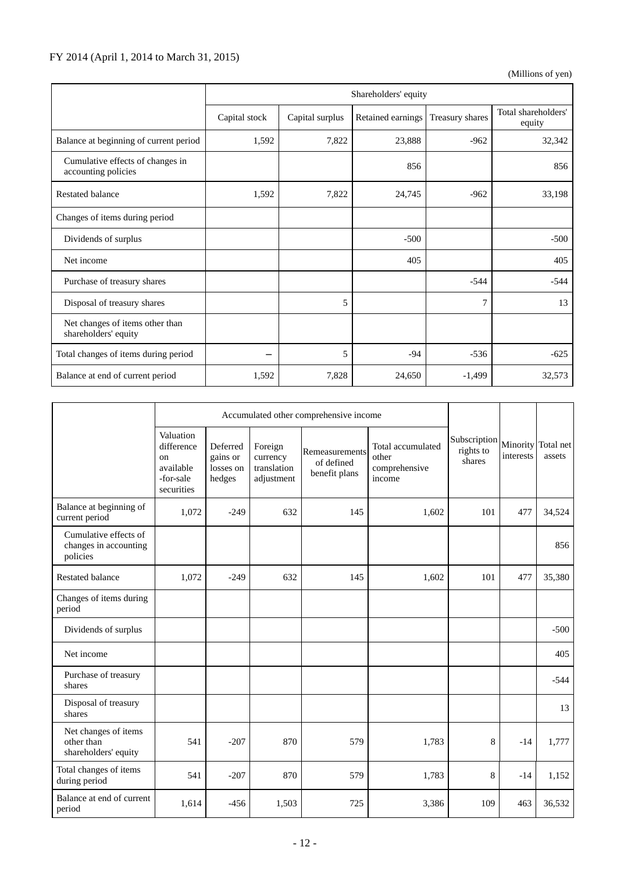## FY 2014 (April 1, 2014 to March 31, 2015)

|                                                         | Shareholders' equity |                 |                   |                 |                               |  |  |
|---------------------------------------------------------|----------------------|-----------------|-------------------|-----------------|-------------------------------|--|--|
|                                                         | Capital stock        | Capital surplus | Retained earnings | Treasury shares | Total shareholders'<br>equity |  |  |
| Balance at beginning of current period                  | 1,592                | 7,822           | 23,888            | $-962$          | 32,342                        |  |  |
| Cumulative effects of changes in<br>accounting policies |                      |                 | 856               |                 | 856                           |  |  |
| <b>Restated balance</b>                                 | 1,592                | 7,822           | 24,745            | $-962$          | 33,198                        |  |  |
| Changes of items during period                          |                      |                 |                   |                 |                               |  |  |
| Dividends of surplus                                    |                      |                 | $-500$            |                 | $-500$                        |  |  |
| Net income                                              |                      |                 | 405               |                 | 405                           |  |  |
| Purchase of treasury shares                             |                      |                 |                   | $-544$          | $-544$                        |  |  |
| Disposal of treasury shares                             |                      | 5               |                   | 7               | 13                            |  |  |
| Net changes of items other than<br>shareholders' equity |                      |                 |                   |                 |                               |  |  |
| Total changes of items during period                    |                      | 5               | $-94$             | $-536$          | $-625$                        |  |  |
| Balance at end of current period                        | 1,592                | 7,828           | 24,650            | $-1,499$        | 32,573                        |  |  |

|                                                            |                                                                       |                                             |                                                  | Accumulated other comprehensive income        |                                                       |                                     |           |                              |  |
|------------------------------------------------------------|-----------------------------------------------------------------------|---------------------------------------------|--------------------------------------------------|-----------------------------------------------|-------------------------------------------------------|-------------------------------------|-----------|------------------------------|--|
|                                                            | Valuation<br>difference<br>on<br>available<br>-for-sale<br>securities | Deferred<br>gains or<br>losses on<br>hedges | Foreign<br>currency<br>translation<br>adjustment | Remeasurements<br>of defined<br>benefit plans | Total accumulated<br>other<br>comprehensive<br>income | Subscription<br>rights to<br>shares | interests | Minority Total net<br>assets |  |
| Balance at beginning of<br>current period                  | 1,072                                                                 | $-249$                                      | 632                                              | 145                                           | 1,602                                                 | 101                                 | 477       | 34,524                       |  |
| Cumulative effects of<br>changes in accounting<br>policies |                                                                       |                                             |                                                  |                                               |                                                       |                                     |           | 856                          |  |
| <b>Restated balance</b>                                    | 1,072                                                                 | $-249$                                      | 632                                              | 145                                           | 1,602                                                 | 101                                 | 477       | 35,380                       |  |
| Changes of items during<br>period                          |                                                                       |                                             |                                                  |                                               |                                                       |                                     |           |                              |  |
| Dividends of surplus                                       |                                                                       |                                             |                                                  |                                               |                                                       |                                     |           | $-500$                       |  |
| Net income                                                 |                                                                       |                                             |                                                  |                                               |                                                       |                                     |           | 405                          |  |
| Purchase of treasury<br>shares                             |                                                                       |                                             |                                                  |                                               |                                                       |                                     |           | $-544$                       |  |
| Disposal of treasury<br>shares                             |                                                                       |                                             |                                                  |                                               |                                                       |                                     |           | 13                           |  |
| Net changes of items<br>other than<br>shareholders' equity | 541                                                                   | $-207$                                      | 870                                              | 579                                           | 1,783                                                 | 8                                   | $-14$     | 1,777                        |  |
| Total changes of items<br>during period                    | 541                                                                   | $-207$                                      | 870                                              | 579                                           | 1,783                                                 | 8                                   | $-14$     | 1,152                        |  |
| Balance at end of current<br>period                        | 1,614                                                                 | $-456$                                      | 1,503                                            | 725                                           | 3,386                                                 | 109                                 | 463       | 36,532                       |  |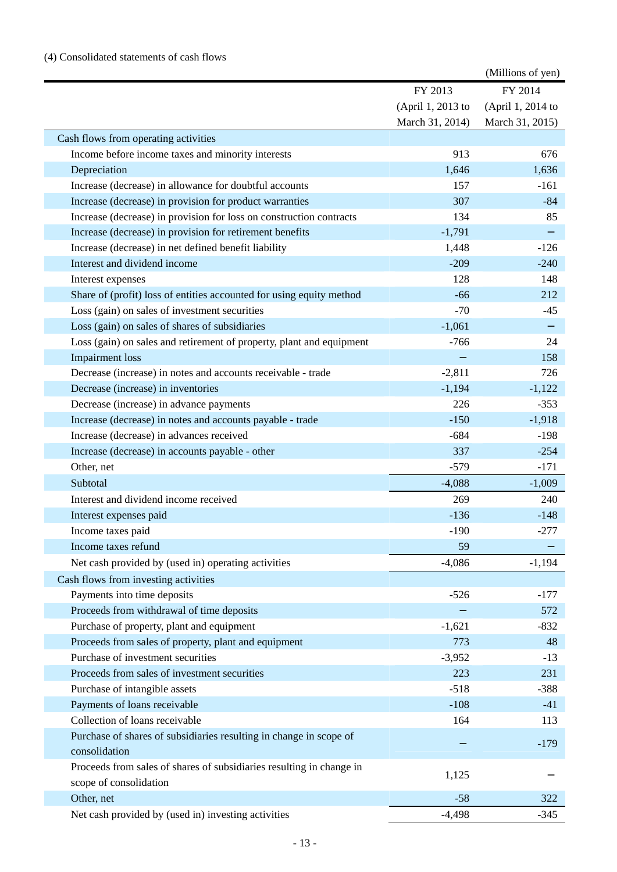|                                                                      |                   | (Millions of yen) |
|----------------------------------------------------------------------|-------------------|-------------------|
|                                                                      | FY 2013           | FY 2014           |
|                                                                      | (April 1, 2013 to | (April 1, 2014 to |
|                                                                      | March 31, 2014)   | March 31, 2015)   |
| Cash flows from operating activities                                 |                   |                   |
| Income before income taxes and minority interests                    | 913               | 676               |
| Depreciation                                                         | 1,646             | 1,636             |
| Increase (decrease) in allowance for doubtful accounts               | 157               | $-161$            |
| Increase (decrease) in provision for product warranties              | 307               | $-84$             |
| Increase (decrease) in provision for loss on construction contracts  | 134               | 85                |
| Increase (decrease) in provision for retirement benefits             | $-1,791$          |                   |
| Increase (decrease) in net defined benefit liability                 | 1,448             | $-126$            |
| Interest and dividend income                                         | $-209$            | $-240$            |
| Interest expenses                                                    | 128               | 148               |
| Share of (profit) loss of entities accounted for using equity method | $-66$             | 212               |
| Loss (gain) on sales of investment securities                        | $-70$             | $-45$             |
| Loss (gain) on sales of shares of subsidiaries                       | $-1,061$          |                   |
| Loss (gain) on sales and retirement of property, plant and equipment | $-766$            | 24                |
| <b>Impairment</b> loss                                               |                   | 158               |
| Decrease (increase) in notes and accounts receivable - trade         | $-2,811$          | 726               |
| Decrease (increase) in inventories                                   | $-1,194$          | $-1,122$          |
| Decrease (increase) in advance payments                              | 226               | $-353$            |
| Increase (decrease) in notes and accounts payable - trade            | $-150$            | $-1,918$          |
| Increase (decrease) in advances received                             | $-684$            | $-198$            |
| Increase (decrease) in accounts payable - other                      | 337               | $-254$            |
| Other, net                                                           | $-579$            | $-171$            |
| Subtotal                                                             | $-4,088$          | $-1,009$          |
| Interest and dividend income received                                | 269               | 240               |
| Interest expenses paid                                               | $-136$            | $-148$            |
| Income taxes paid                                                    | $-190$            | $-277$            |
| Income taxes refund                                                  | 59                |                   |
| Net cash provided by (used in) operating activities                  | $-4,086$          | $-1,194$          |
| Cash flows from investing activities                                 |                   |                   |
| Payments into time deposits                                          | $-526$            | $-177$            |
| Proceeds from withdrawal of time deposits                            |                   | 572               |
| Purchase of property, plant and equipment                            | $-1,621$          | $-832$            |
| Proceeds from sales of property, plant and equipment                 | 773               | 48                |
| Purchase of investment securities                                    | $-3,952$          | $-13$             |
| Proceeds from sales of investment securities                         | 223               | 231               |
| Purchase of intangible assets                                        | $-518$            | $-388$            |
| Payments of loans receivable                                         | $-108$            | $-41$             |
| Collection of loans receivable                                       | 164               | 113               |
| Purchase of shares of subsidiaries resulting in change in scope of   |                   |                   |
| consolidation                                                        |                   | $-179$            |
| Proceeds from sales of shares of subsidiaries resulting in change in |                   |                   |
| scope of consolidation                                               | 1,125             |                   |
| Other, net                                                           | $-58$             | 322               |
| Net cash provided by (used in) investing activities                  | $-4,498$          | $-345$            |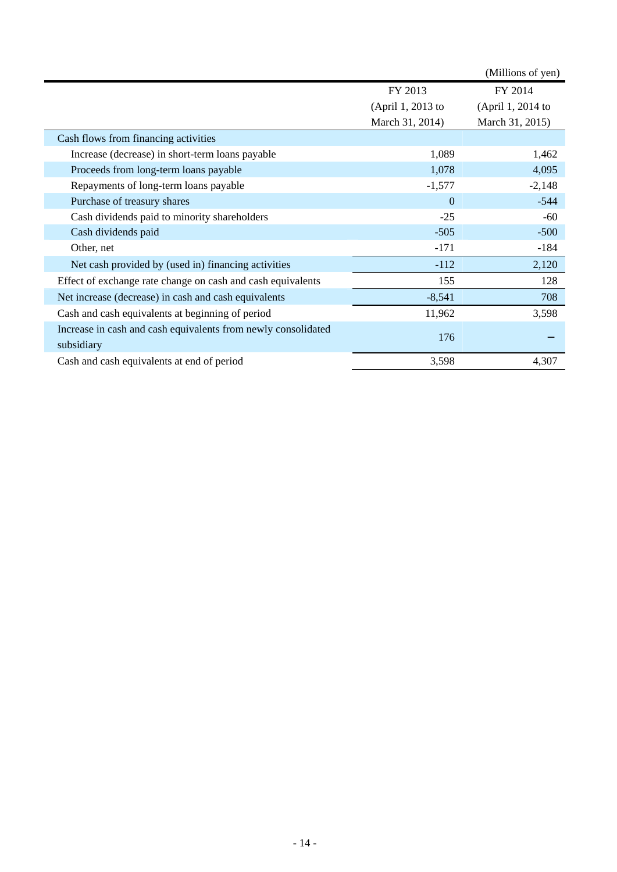|                                                                             |                   | (Millions of yen) |
|-----------------------------------------------------------------------------|-------------------|-------------------|
|                                                                             | FY 2013           | FY 2014           |
|                                                                             | (April 1, 2013 to | (April 1, 2014 to |
|                                                                             | March 31, 2014)   | March 31, 2015)   |
| Cash flows from financing activities                                        |                   |                   |
| Increase (decrease) in short-term loans payable                             | 1,089             | 1,462             |
| Proceeds from long-term loans payable                                       | 1,078             | 4,095             |
| Repayments of long-term loans payable                                       | $-1,577$          | $-2,148$          |
| Purchase of treasury shares                                                 | $\theta$          | $-544$            |
| Cash dividends paid to minority shareholders                                | $-25$             | -60               |
| Cash dividends paid                                                         | $-505$            | $-500$            |
| Other, net                                                                  | $-171$            | $-184$            |
| Net cash provided by (used in) financing activities                         | $-112$            | 2,120             |
| Effect of exchange rate change on cash and cash equivalents                 | 155               | 128               |
| Net increase (decrease) in cash and cash equivalents                        | $-8,541$          | 708               |
| Cash and cash equivalents at beginning of period                            | 11,962            | 3,598             |
| Increase in cash and cash equivalents from newly consolidated<br>subsidiary | 176               |                   |
| Cash and cash equivalents at end of period                                  | 3,598             | 4,307             |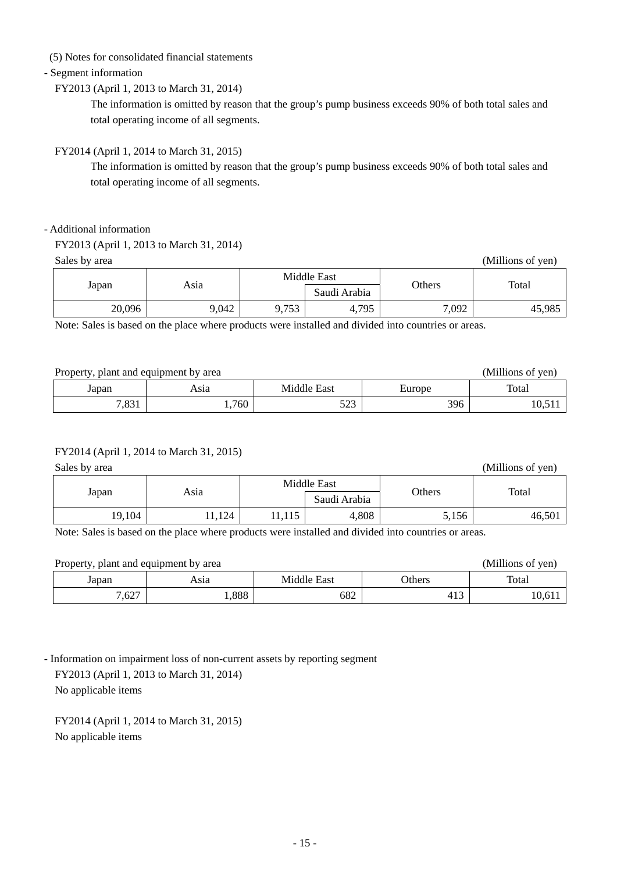(5) Notes for consolidated financial statements

## - Segment information

#### FY2013 (April 1, 2013 to March 31, 2014)

The information is omitted by reason that the group's pump business exceeds 90% of both total sales and total operating income of all segments.

## FY2014 (April 1, 2014 to March 31, 2015)

The information is omitted by reason that the group's pump business exceeds 90% of both total sales and total operating income of all segments.

#### - Additional information

Sales by area (Millions of yen)

|        | Asia  | Middle East |              | <b>Others</b> | Total  |  |
|--------|-------|-------------|--------------|---------------|--------|--|
| Japan  |       |             | Saudi Arabia |               |        |  |
| 20,096 | 9,042 | 9,753       | 4,795        | 7,092         | 45,985 |  |

Note: Sales is based on the place where products were installed and divided into countries or areas.

| Property, plant and equipment by area | (Millions of yen) |              |        |       |
|---------------------------------------|-------------------|--------------|--------|-------|
| Japan                                 | Asıa              | Middle East  | Europe | Total |
| 7,831                                 | .760              | 502<br>ر ے ر | 396    |       |

#### FY2014 (April 1, 2014 to March 31, 2015)

Sales by area (Millions of yen)

|        |      | Middle East |              |        |        |  |
|--------|------|-------------|--------------|--------|--------|--|
| Japan  | Asia |             | Saudi Arabia | Others | Total  |  |
| 19,104 | 124  | 11,115      | 4,808        | 5,156  | 46,501 |  |

Note: Sales is based on the place where products were installed and divided into countries or areas.

| Property, plant and equipment by area | (Millions of yen) |             |               |       |
|---------------------------------------|-------------------|-------------|---------------|-------|
| Japan                                 | Asıa              | Middle East | <b>Others</b> | Total |
| 7,627                                 | ,888              | 682         | 413           | 10,61 |

- Information on impairment loss of non-current assets by reporting segment

 FY2013 (April 1, 2013 to March 31, 2014) No applicable items

FY2014 (April 1, 2014 to March 31, 2015) No applicable items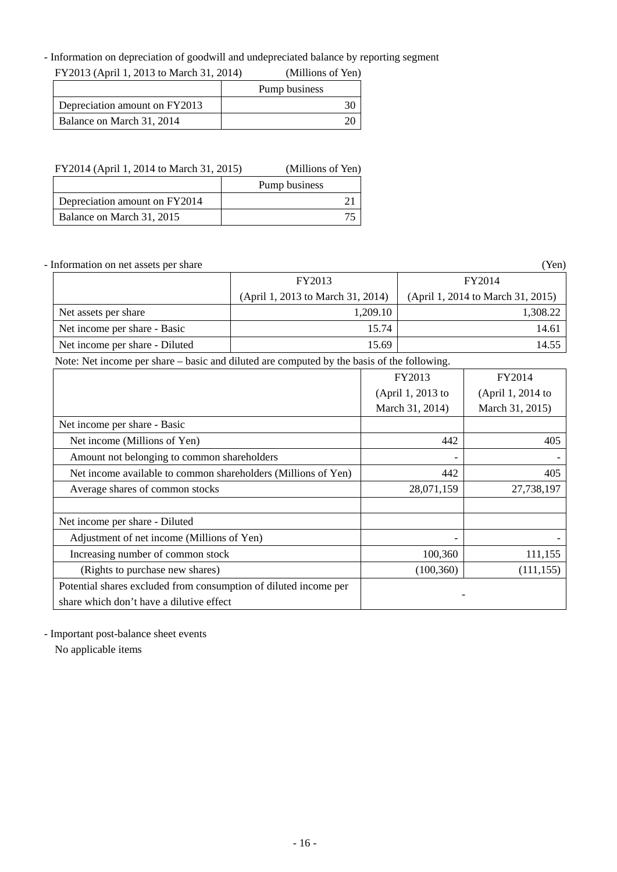#### - Information on depreciation of goodwill and undepreciated balance by reporting segment

| FY2013 (April 1, 2013 to March 31, 2014) |               | (Millions of Yen) |
|------------------------------------------|---------------|-------------------|
|                                          | Pump business |                   |
| Depreciation amount on FY2013            |               |                   |
| Balance on March 31, 2014                |               |                   |

| FY2014 (April 1, 2014 to March 31, 2015) |  | (Millions of Yen) |  |
|------------------------------------------|--|-------------------|--|
|                                          |  | Pump business     |  |
| Depreciation amount on FY2014            |  |                   |  |
| Balance on March 31, 2015                |  |                   |  |

- Information on net assets per share (Yen)

|                                |                                   | ----                              |  |
|--------------------------------|-----------------------------------|-----------------------------------|--|
|                                | FY2013                            | FY2014                            |  |
|                                | (April 1, 2013 to March 31, 2014) | (April 1, 2014 to March 31, 2015) |  |
| Net assets per share           | 1.209.10                          | 1.308.22                          |  |
| Net income per share - Basic   | 15.74                             | 14.61                             |  |
| Net income per share - Diluted | 15.69                             | 14.55                             |  |

Note: Net income per share – basic and diluted are computed by the basis of the following.

|                                                                  | FY2013            | FY2014            |
|------------------------------------------------------------------|-------------------|-------------------|
|                                                                  | (April 1, 2013 to | (April 1, 2014 to |
|                                                                  | March 31, 2014)   | March 31, 2015)   |
| Net income per share - Basic                                     |                   |                   |
| Net income (Millions of Yen)                                     | 442               | 405               |
| Amount not belonging to common shareholders                      |                   |                   |
| Net income available to common shareholders (Millions of Yen)    | 442               | 405               |
| Average shares of common stocks                                  | 28,071,159        | 27,738,197        |
|                                                                  |                   |                   |
| Net income per share - Diluted                                   |                   |                   |
| Adjustment of net income (Millions of Yen)                       |                   |                   |
| Increasing number of common stock                                | 100,360           | 111,155           |
| (Rights to purchase new shares)                                  | (100, 360)        | (111, 155)        |
| Potential shares excluded from consumption of diluted income per |                   |                   |
| share which don't have a dilutive effect                         |                   |                   |

- Important post-balance sheet events

No applicable items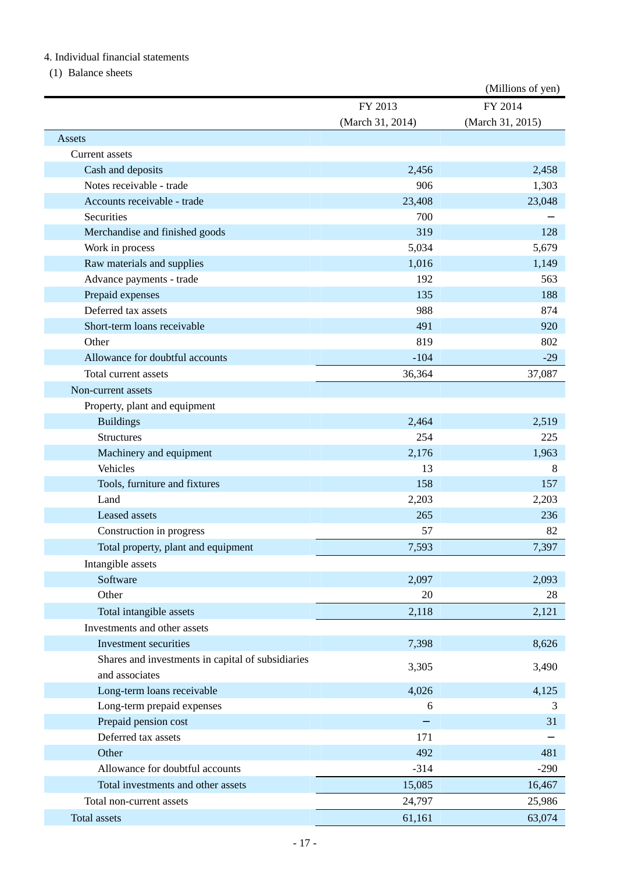#### 4. Individual financial statements

(1) Balance sheets

|                                                   |                  | (Millions of yen) |
|---------------------------------------------------|------------------|-------------------|
|                                                   | FY 2013          | FY 2014           |
|                                                   | (March 31, 2014) | (March 31, 2015)  |
| Assets                                            |                  |                   |
| Current assets                                    |                  |                   |
| Cash and deposits                                 | 2,456            | 2,458             |
| Notes receivable - trade                          | 906              | 1,303             |
| Accounts receivable - trade                       | 23,408           | 23,048            |
| Securities                                        | 700              |                   |
| Merchandise and finished goods                    | 319              | 128               |
| Work in process                                   | 5,034            | 5,679             |
| Raw materials and supplies                        | 1,016            | 1,149             |
| Advance payments - trade                          | 192              | 563               |
| Prepaid expenses                                  | 135              | 188               |
| Deferred tax assets                               | 988              | 874               |
| Short-term loans receivable                       | 491              | 920               |
| Other                                             | 819              | 802               |
| Allowance for doubtful accounts                   | $-104$           | $-29$             |
| Total current assets                              | 36,364           | 37,087            |
| Non-current assets                                |                  |                   |
| Property, plant and equipment                     |                  |                   |
| <b>Buildings</b>                                  | 2,464            | 2,519             |
| <b>Structures</b>                                 | 254              | 225               |
| Machinery and equipment                           | 2,176            | 1,963             |
| Vehicles                                          | 13               | 8                 |
| Tools, furniture and fixtures                     | 158              | 157               |
| Land                                              | 2,203            | 2,203             |
| Leased assets                                     | 265              | 236               |
| Construction in progress                          | 57               | 82                |
| Total property, plant and equipment               | 7,593            | 7,397             |
| Intangible assets                                 |                  |                   |
| Software                                          | 2,097            | 2,093             |
| Other                                             | 20               | 28                |
| Total intangible assets                           | 2,118            | 2,121             |
| Investments and other assets                      |                  |                   |
| Investment securities                             | 7,398            | 8,626             |
| Shares and investments in capital of subsidiaries |                  |                   |
| and associates                                    | 3,305            | 3,490             |
| Long-term loans receivable                        | 4,026            | 4,125             |
| Long-term prepaid expenses                        | 6                | 3                 |
| Prepaid pension cost                              |                  | 31                |
| Deferred tax assets                               | 171              |                   |
| Other                                             | 492              | 481               |
| Allowance for doubtful accounts                   | $-314$           | $-290$            |
| Total investments and other assets                | 15,085           | 16,467            |
|                                                   |                  |                   |
| Total non-current assets                          | 24,797           | 25,986            |
| Total assets                                      | 61,161           | 63,074            |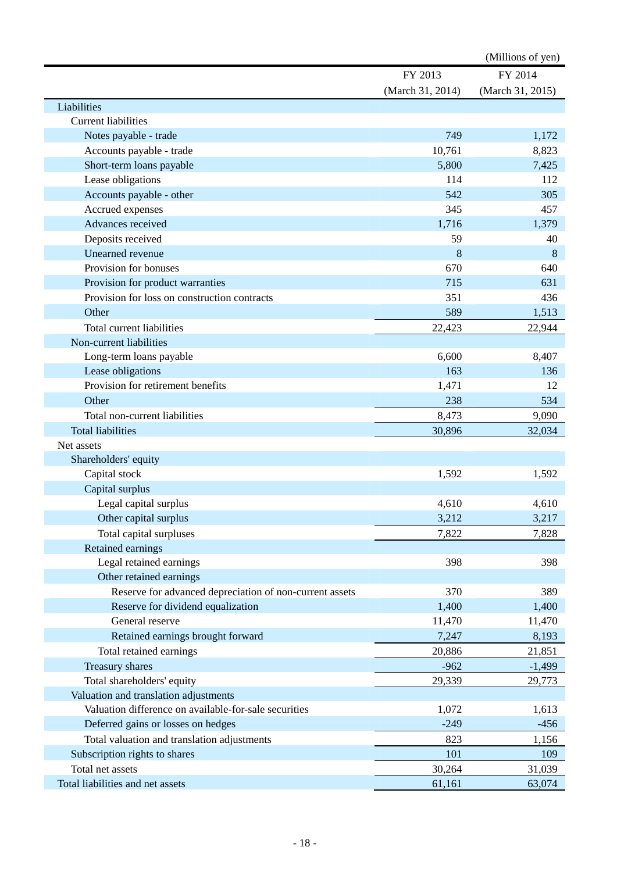|                                                         |                  | (Millions of yen) |
|---------------------------------------------------------|------------------|-------------------|
|                                                         | FY 2013          | FY 2014           |
|                                                         | (March 31, 2014) | (March 31, 2015)  |
| Liabilities                                             |                  |                   |
| <b>Current liabilities</b>                              |                  |                   |
| Notes payable - trade                                   | 749              | 1,172             |
| Accounts payable - trade                                | 10,761           | 8,823             |
| Short-term loans payable                                | 5,800            | 7,425             |
| Lease obligations                                       | 114              | 112               |
| Accounts payable - other                                | 542              | 305               |
| Accrued expenses                                        | 345              | 457               |
| Advances received                                       | 1,716            | 1,379             |
| Deposits received                                       | 59               | 40                |
| Unearned revenue                                        | 8                | 8                 |
| Provision for bonuses                                   | 670              | 640               |
| Provision for product warranties                        | 715              | 631               |
| Provision for loss on construction contracts            | 351              | 436               |
| Other                                                   | 589              | 1,513             |
| Total current liabilities                               | 22,423           | 22,944            |
| Non-current liabilities                                 |                  |                   |
| Long-term loans payable                                 | 6,600            | 8,407             |
| Lease obligations                                       | 163              | 136               |
| Provision for retirement benefits                       | 1,471            | 12                |
| Other                                                   | 238              | 534               |
| Total non-current liabilities                           | 8,473            | 9,090             |
| <b>Total liabilities</b>                                | 30,896           | 32,034            |
| Net assets                                              |                  |                   |
| Shareholders' equity                                    |                  |                   |
| Capital stock                                           | 1,592            | 1,592             |
| Capital surplus                                         |                  |                   |
| Legal capital surplus                                   | 4,610            | 4,610             |
| Other capital surplus                                   | 3,212            | 3,217             |
| Total capital surpluses                                 | 7,822            | 7,828             |
| Retained earnings                                       |                  |                   |
| Legal retained earnings                                 | 398              | 398               |
| Other retained earnings                                 |                  |                   |
| Reserve for advanced depreciation of non-current assets | 370              | 389               |
| Reserve for dividend equalization                       | 1,400            | 1,400             |
| General reserve                                         | 11,470           | 11,470            |
| Retained earnings brought forward                       | 7,247            | 8,193             |
| Total retained earnings                                 | 20,886           | 21,851            |
| Treasury shares                                         | $-962$           | $-1,499$          |
| Total shareholders' equity                              | 29,339           | 29,773            |
| Valuation and translation adjustments                   |                  |                   |
| Valuation difference on available-for-sale securities   | 1,072            | 1,613             |
| Deferred gains or losses on hedges                      | $-249$           | $-456$            |
| Total valuation and translation adjustments             | 823              | 1,156             |
| Subscription rights to shares                           | 101              | 109               |
| Total net assets                                        | 30,264           | 31,039            |
| Total liabilities and net assets                        | 61,161           | 63,074            |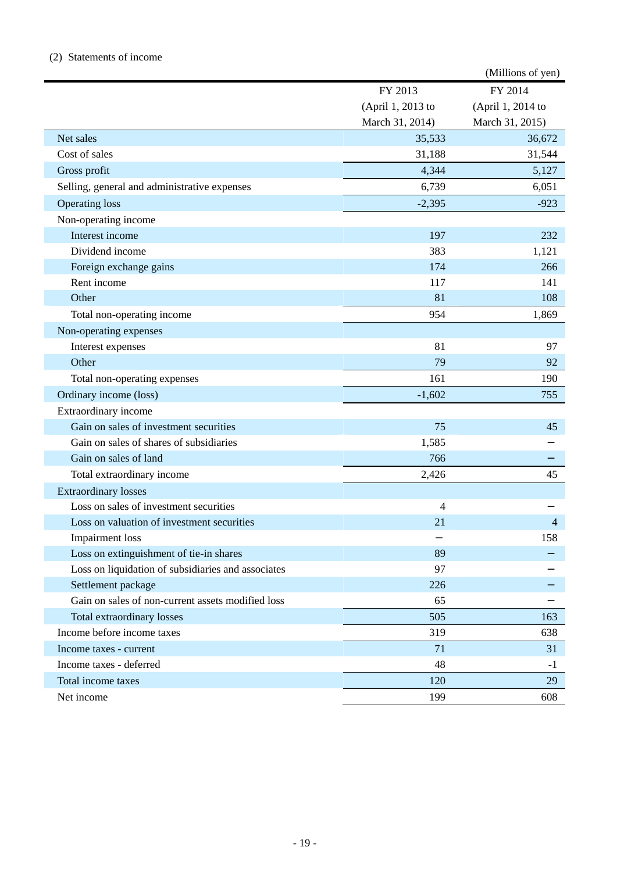#### (2) Statements of income

|                                                    |                   | (Millions of yen) |
|----------------------------------------------------|-------------------|-------------------|
|                                                    | FY 2013           | FY 2014           |
|                                                    | (April 1, 2013 to | (April 1, 2014 to |
|                                                    | March 31, 2014)   | March 31, 2015)   |
| Net sales                                          | 35,533            | 36,672            |
| Cost of sales                                      | 31,188            | 31,544            |
| Gross profit                                       | 4,344             | 5,127             |
| Selling, general and administrative expenses       | 6,739             | 6,051             |
| <b>Operating loss</b>                              | $-2,395$          | $-923$            |
| Non-operating income                               |                   |                   |
| Interest income                                    | 197               | 232               |
| Dividend income                                    | 383               | 1,121             |
| Foreign exchange gains                             | 174               | 266               |
| Rent income                                        | 117               | 141               |
| Other                                              | 81                | 108               |
| Total non-operating income                         | 954               | 1,869             |
| Non-operating expenses                             |                   |                   |
| Interest expenses                                  | 81                | 97                |
| Other                                              | 79                | 92                |
| Total non-operating expenses                       | 161               | 190               |
| Ordinary income (loss)                             | $-1,602$          | 755               |
| Extraordinary income                               |                   |                   |
| Gain on sales of investment securities             | 75                | 45                |
| Gain on sales of shares of subsidiaries            | 1,585             |                   |
| Gain on sales of land                              | 766               |                   |
| Total extraordinary income                         | 2,426             | 45                |
| <b>Extraordinary losses</b>                        |                   |                   |
| Loss on sales of investment securities             | 4                 |                   |
| Loss on valuation of investment securities         | 21                | 4                 |
| <b>Impairment</b> loss                             |                   | 158               |
| Loss on extinguishment of tie-in shares            | 89                |                   |
| Loss on liquidation of subsidiaries and associates | 97                |                   |
| Settlement package                                 | 226               |                   |
| Gain on sales of non-current assets modified loss  | 65                |                   |
| Total extraordinary losses                         | 505               | 163               |
| Income before income taxes                         | 319               | 638               |
| Income taxes - current                             | 71                | 31                |
| Income taxes - deferred                            | 48                | $-1$              |
| Total income taxes                                 | 120               | 29                |
| Net income                                         | 199               | 608               |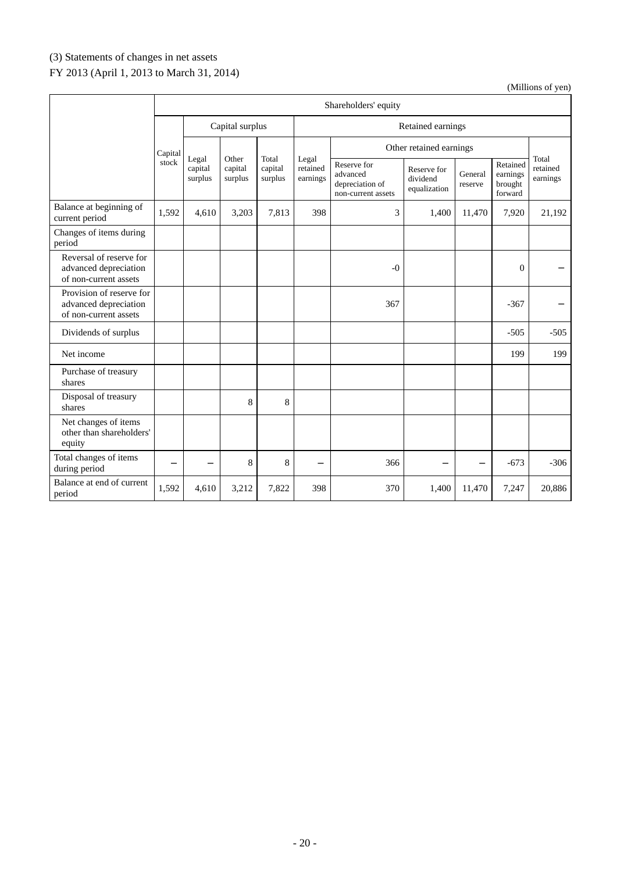# (3) Statements of changes in net assets

# FY 2013 (April 1, 2013 to March 31, 2014)

|                                                                            | Shareholders' equity |                             |                             |                             |                               |                                                                  |                                         |                    |                                            |                               |
|----------------------------------------------------------------------------|----------------------|-----------------------------|-----------------------------|-----------------------------|-------------------------------|------------------------------------------------------------------|-----------------------------------------|--------------------|--------------------------------------------|-------------------------------|
|                                                                            | Capital surplus      |                             |                             | Retained earnings           |                               |                                                                  |                                         |                    |                                            |                               |
|                                                                            | Capital              |                             |                             |                             | Other retained earnings       |                                                                  |                                         |                    |                                            |                               |
|                                                                            | stock                | Legal<br>capital<br>surplus | Other<br>capital<br>surplus | Total<br>capital<br>surplus | Legal<br>retained<br>earnings | Reserve for<br>advanced<br>depreciation of<br>non-current assets | Reserve for<br>dividend<br>equalization | General<br>reserve | Retained<br>earnings<br>brought<br>forward | Total<br>retained<br>earnings |
| Balance at beginning of<br>current period                                  | 1,592                | 4,610                       | 3,203                       | 7,813                       | 398                           | 3                                                                | 1,400                                   | 11,470             | 7,920                                      | 21,192                        |
| Changes of items during<br>period                                          |                      |                             |                             |                             |                               |                                                                  |                                         |                    |                                            |                               |
| Reversal of reserve for<br>advanced depreciation<br>of non-current assets  |                      |                             |                             |                             |                               | $-0$                                                             |                                         |                    | $\boldsymbol{0}$                           |                               |
| Provision of reserve for<br>advanced depreciation<br>of non-current assets |                      |                             |                             |                             |                               | 367                                                              |                                         |                    | $-367$                                     |                               |
| Dividends of surplus                                                       |                      |                             |                             |                             |                               |                                                                  |                                         |                    | $-505$                                     | $-505$                        |
| Net income                                                                 |                      |                             |                             |                             |                               |                                                                  |                                         |                    | 199                                        | 199                           |
| Purchase of treasury<br>shares                                             |                      |                             |                             |                             |                               |                                                                  |                                         |                    |                                            |                               |
| Disposal of treasury<br>shares                                             |                      |                             | 8                           | 8                           |                               |                                                                  |                                         |                    |                                            |                               |
| Net changes of items<br>other than shareholders'<br>equity                 |                      |                             |                             |                             |                               |                                                                  |                                         |                    |                                            |                               |
| Total changes of items<br>during period                                    |                      |                             | 8                           | 8                           |                               | 366                                                              |                                         |                    | $-673$                                     | $-306$                        |
| Balance at end of current<br>period                                        | 1,592                | 4,610                       | 3,212                       | 7,822                       | 398                           | 370                                                              | 1,400                                   | 11,470             | 7,247                                      | 20,886                        |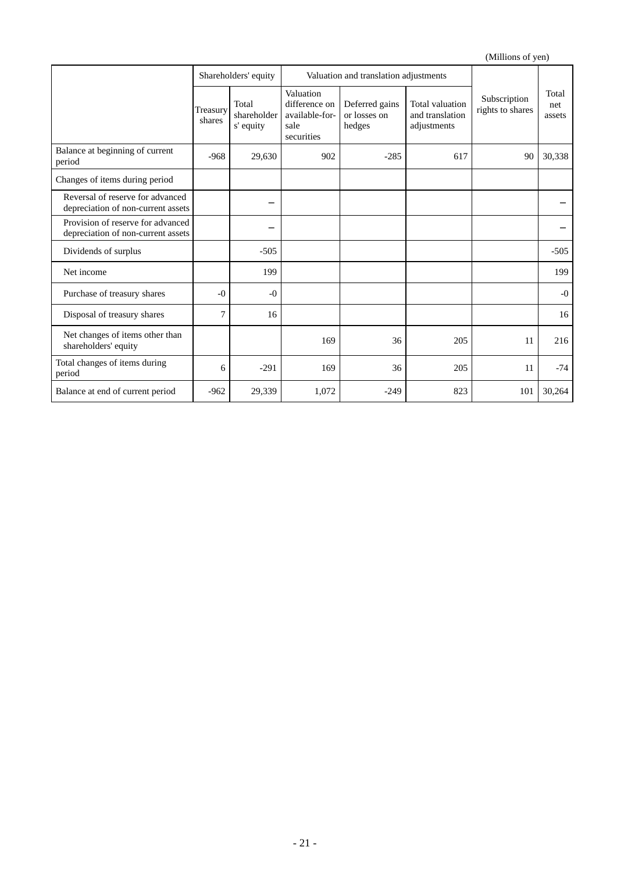|                                                                         | Shareholders' equity |                                   |                                                                    | Valuation and translation adjustments    |                                                   |                                  |                        |
|-------------------------------------------------------------------------|----------------------|-----------------------------------|--------------------------------------------------------------------|------------------------------------------|---------------------------------------------------|----------------------------------|------------------------|
|                                                                         | Treasury<br>shares   | Total<br>shareholder<br>s' equity | Valuation<br>difference on<br>available-for-<br>sale<br>securities | Deferred gains<br>or losses on<br>hedges | Total valuation<br>and translation<br>adjustments | Subscription<br>rights to shares | Total<br>net<br>assets |
| Balance at beginning of current<br>period                               | $-968$               | 29,630                            | 902                                                                | $-285$                                   | 617                                               | 90                               | 30,338                 |
| Changes of items during period                                          |                      |                                   |                                                                    |                                          |                                                   |                                  |                        |
| Reversal of reserve for advanced<br>depreciation of non-current assets  |                      |                                   |                                                                    |                                          |                                                   |                                  |                        |
| Provision of reserve for advanced<br>depreciation of non-current assets |                      |                                   |                                                                    |                                          |                                                   |                                  |                        |
| Dividends of surplus                                                    |                      | $-505$                            |                                                                    |                                          |                                                   |                                  | $-505$                 |
| Net income                                                              |                      | 199                               |                                                                    |                                          |                                                   |                                  | 199                    |
| Purchase of treasury shares                                             | $-0$                 | $-0$                              |                                                                    |                                          |                                                   |                                  | $-0$                   |
| Disposal of treasury shares                                             | 7                    | 16                                |                                                                    |                                          |                                                   |                                  | 16                     |
| Net changes of items other than<br>shareholders' equity                 |                      |                                   | 169                                                                | 36                                       | 205                                               | 11                               | 216                    |
| Total changes of items during<br>period                                 | 6                    | $-291$                            | 169                                                                | 36                                       | 205                                               | 11                               | $-74$                  |
| Balance at end of current period                                        | $-962$               | 29,339                            | 1,072                                                              | $-249$                                   | 823                                               | 101                              | 30,264                 |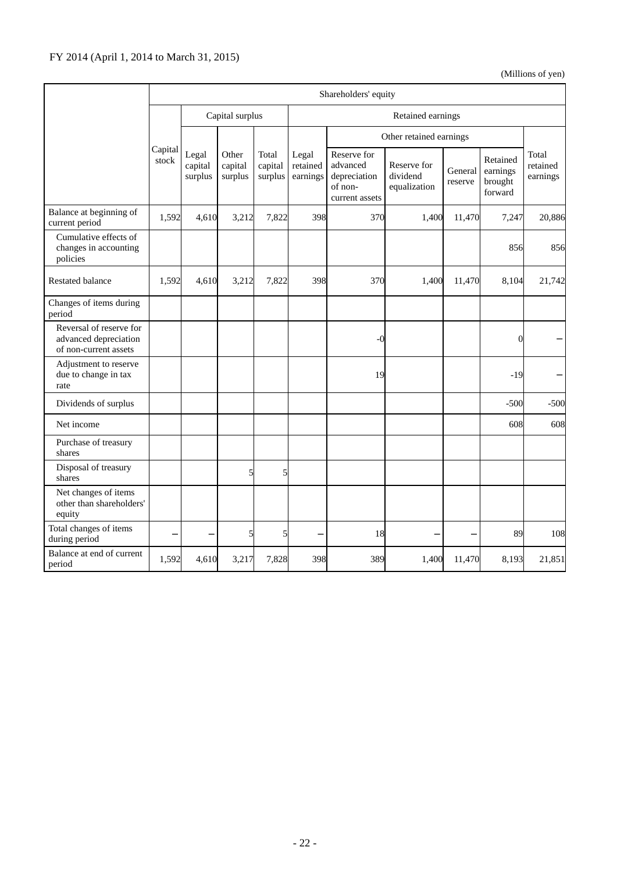|                                                                           |                  | Shareholders' equity        |                             |                             |                               |                                                                      |                                         |                    |                                            |                               |
|---------------------------------------------------------------------------|------------------|-----------------------------|-----------------------------|-----------------------------|-------------------------------|----------------------------------------------------------------------|-----------------------------------------|--------------------|--------------------------------------------|-------------------------------|
|                                                                           | Capital surplus  |                             |                             | Retained earnings           |                               |                                                                      |                                         |                    |                                            |                               |
|                                                                           |                  |                             |                             |                             |                               |                                                                      | Other retained earnings                 |                    |                                            |                               |
|                                                                           | Capital<br>stock | Legal<br>capital<br>surplus | Other<br>capital<br>surplus | Total<br>capital<br>surplus | Legal<br>retained<br>earnings | Reserve for<br>advanced<br>depreciation<br>of non-<br>current assets | Reserve for<br>dividend<br>equalization | General<br>reserve | Retained<br>earnings<br>brought<br>forward | Total<br>retained<br>earnings |
| Balance at beginning of<br>current period                                 | 1,592            | 4,610                       | 3,212                       | 7,822                       | 398                           | 370                                                                  | 1,400                                   | 11,470             | 7,247                                      | 20,886                        |
| Cumulative effects of<br>changes in accounting<br>policies                |                  |                             |                             |                             |                               |                                                                      |                                         |                    | 856                                        | 856                           |
| <b>Restated balance</b>                                                   | 1,592            | 4,610                       | 3,212                       | 7,822                       | 398                           | 370                                                                  | 1,400                                   | 11,470             | 8,104                                      | 21,742                        |
| Changes of items during<br>period                                         |                  |                             |                             |                             |                               |                                                                      |                                         |                    |                                            |                               |
| Reversal of reserve for<br>advanced depreciation<br>of non-current assets |                  |                             |                             |                             |                               | $-0$                                                                 |                                         |                    | $\overline{0}$                             |                               |
| Adjustment to reserve<br>due to change in tax<br>rate                     |                  |                             |                             |                             |                               | 19                                                                   |                                         |                    | $-19$                                      |                               |
| Dividends of surplus                                                      |                  |                             |                             |                             |                               |                                                                      |                                         |                    | $-500$                                     | $-500$                        |
| Net income                                                                |                  |                             |                             |                             |                               |                                                                      |                                         |                    | 608                                        | 608                           |
| Purchase of treasury<br>shares                                            |                  |                             |                             |                             |                               |                                                                      |                                         |                    |                                            |                               |
| Disposal of treasury<br>shares                                            |                  |                             | 5                           | 5                           |                               |                                                                      |                                         |                    |                                            |                               |
| Net changes of items<br>other than shareholders'<br>equity                |                  |                             |                             |                             |                               |                                                                      |                                         |                    |                                            |                               |
| Total changes of items<br>during period                                   |                  |                             | 5                           | 5                           |                               | 18                                                                   |                                         |                    | 89                                         | 108                           |
| Balance at end of current<br>period                                       | 1,592            | 4,610                       | 3,217                       | 7,828                       | 398                           | 389                                                                  | 1,400                                   | 11,470             | 8,193                                      | 21,851                        |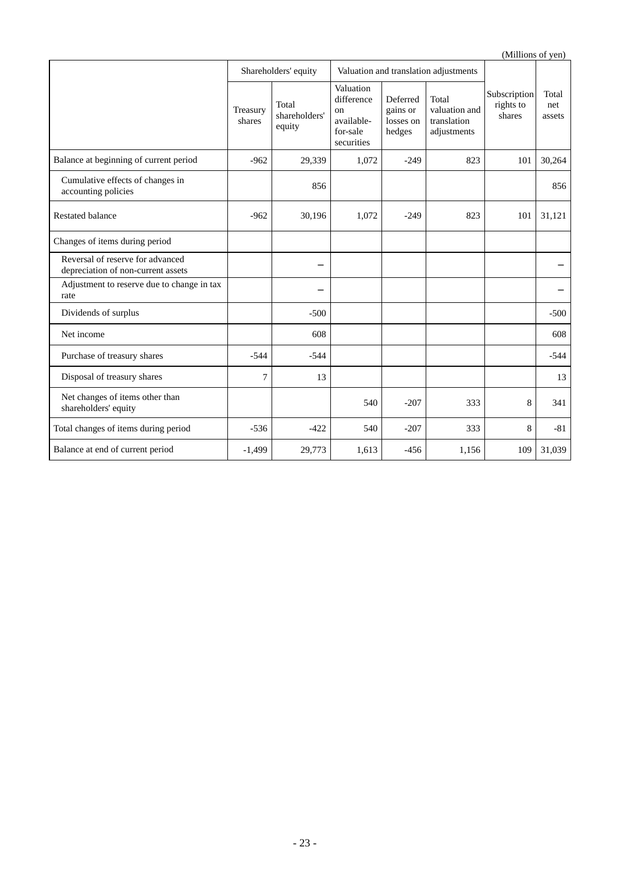(Millions of yen) Shareholders' equity Valuation and translation adjustments Subscription rights to shares Total net Treasury  $\begin{array}{|l|c|c|c|c|c|c|c|c|} \hline \text{1} & \text{1} & \text{1} & \text{1} & \text{1} \\ \text{1} & \text{1} & \text{1} & \text{1} & \text{1} \\ \text{2} & \text{1} & \text{1} & \text{1} & \text{1} \\ \hline \text{2} & \text{1} & \text{1} & \text{1} & \text{1} \\ \hline \text{3} & \text{1} & \text{1} & \text{1} & \text{1} \\ \hline \text{4} & \text{1} & \text{1} & \text{1} &$ shares Total equity Valuation difference on availablefor-sale securities Deferred gains or losses on hedges Total valuation and translation adjustments Balance at beginning of current period  $-962$   $-29,339$   $1,072$   $-249$   $-823$  101 30,264 Cumulative effects of changes in Lumulative effects of changes in<br>accounting policies 856 Restated balance 1.1.121 101 | 30,196 1,072 -249 823 101 | 31,121 Changes of items during period Reversal of reserve for advanced depreciation of non-current assets Adjustment to reserve due to change in tax rate Dividends of surplus  $\begin{vmatrix} 1 & 1 \\ -500 & -500 \end{vmatrix}$   $\begin{vmatrix} 1 & 1 \\ -500 & -500 \end{vmatrix}$   $\begin{vmatrix} 1 & 1 \\ -500 & -500 \end{vmatrix}$ Net income 608 608 Purchase of treasury shares -544 -544 -544 Disposal of treasury shares  $\begin{vmatrix} 7 & 13 \\ 13 & 1 \end{vmatrix}$  14 13 Net changes of items other than shareholders' equity 540 -207 333 8 341 Total changes of items during period  $\begin{vmatrix} -536 & -422 & 540 & -207 \end{vmatrix}$   $\begin{vmatrix} -207 & 333 & 8 \end{vmatrix}$  -81 Balance at end of current period 1,499 -1,499 29,773 1,613 -456 1,156 109 31,039